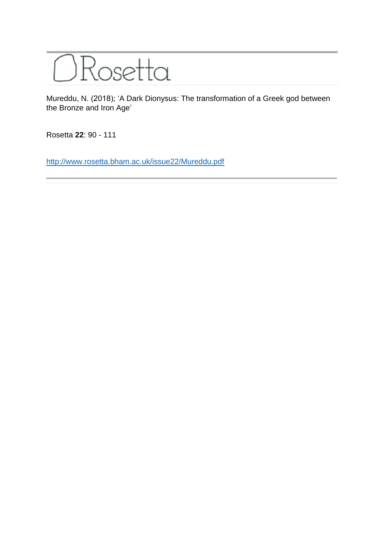

Mureddu, N. (2018); 'A Dark Dionysus: The transformation of a Greek god between the Bronze and Iron Age'

Rosetta **22**: 90 - 111

<http://www.rosetta.bham.ac.uk/issue22/Mureddu.pdf>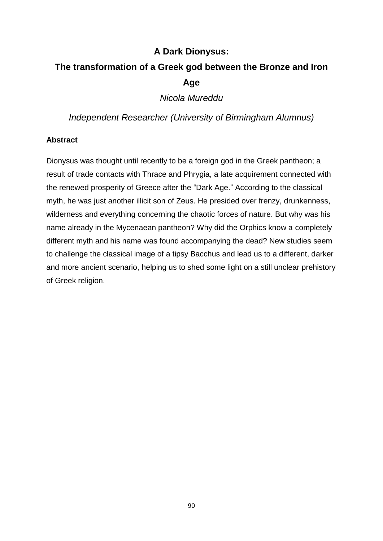## **A Dark Dionysus:**

# **The transformation of a Greek god between the Bronze and Iron Age**

*Nicola Mureddu*

*Independent Researcher (University of Birmingham Alumnus)*

## **Abstract**

Dionysus was thought until recently to be a foreign god in the Greek pantheon; a result of trade contacts with Thrace and Phrygia, a late acquirement connected with the renewed prosperity of Greece after the "Dark Age." According to the classical myth, he was just another illicit son of Zeus. He presided over frenzy, drunkenness, wilderness and everything concerning the chaotic forces of nature. But why was his name already in the Mycenaean pantheon? Why did the Orphics know a completely different myth and his name was found accompanying the dead? New studies seem to challenge the classical image of a tipsy Bacchus and lead us to a different, darker and more ancient scenario, helping us to shed some light on a still unclear prehistory of Greek religion.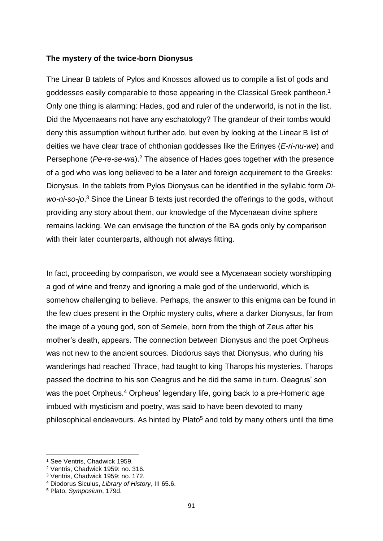#### **The mystery of the twice-born Dionysus**

The Linear B tablets of Pylos and Knossos allowed us to compile a list of gods and goddesses easily comparable to those appearing in the Classical Greek pantheon. 1 Only one thing is alarming: Hades, god and ruler of the underworld, is not in the list. Did the Mycenaeans not have any eschatology? The grandeur of their tombs would deny this assumption without further ado, but even by looking at the Linear B list of deities we have clear trace of chthonian goddesses like the Erinyes (*E-ri-nu-we*) and Persephone (*Pe-re-se-wa*).<sup>2</sup> The absence of Hades goes together with the presence of a god who was long believed to be a later and foreign acquirement to the Greeks: Dionysus. In the tablets from Pylos Dionysus can be identified in the syllabic form *Diwo-ni-so-jo*. <sup>3</sup> Since the Linear B texts just recorded the offerings to the gods, without providing any story about them, our knowledge of the Mycenaean divine sphere remains lacking. We can envisage the function of the BA gods only by comparison with their later counterparts, although not always fitting.

In fact, proceeding by comparison, we would see a Mycenaean society worshipping a god of wine and frenzy and ignoring a male god of the underworld, which is somehow challenging to believe. Perhaps, the answer to this enigma can be found in the few clues present in the Orphic mystery cults, where a darker Dionysus, far from the image of a young god, son of Semele, born from the thigh of Zeus after his mother's death, appears. The connection between Dionysus and the poet Orpheus was not new to the ancient sources. Diodorus says that Dionysus, who during his wanderings had reached Thrace, had taught to king Tharops his mysteries. Tharops passed the doctrine to his son Oeagrus and he did the same in turn. Oeagrus' son was the poet Orpheus.<sup>4</sup> Orpheus' legendary life, going back to a pre-Homeric age imbued with mysticism and poetry, was said to have been devoted to many philosophical endeavours. As hinted by Plato<sup>5</sup> and told by many others until the time

<sup>1</sup> See Ventris, Chadwick 1959.

<sup>2</sup> Ventris, Chadwick 1959: no. 316.

<sup>3</sup> Ventris, Chadwick 1959: no. 172.

<sup>4</sup> Diodorus Siculus, *Library of History*, III 65.6.

<sup>5</sup> Plato, *Symposium*, 179d.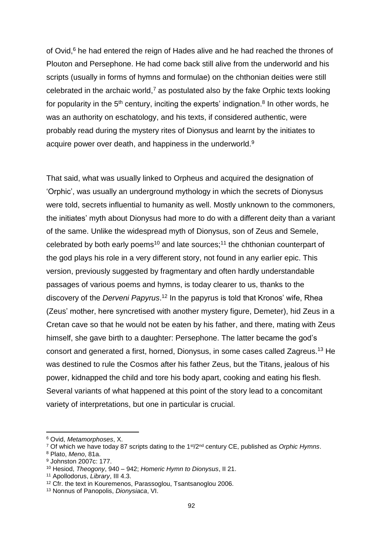of Ovid,<sup>6</sup> he had entered the reign of Hades alive and he had reached the thrones of Plouton and Persephone. He had come back still alive from the underworld and his scripts (usually in forms of hymns and formulae) on the chthonian deities were still celebrated in the archaic world, $7$  as postulated also by the fake Orphic texts looking for popularity in the  $5<sup>th</sup>$  century, inciting the experts' indignation.<sup>8</sup> In other words, he was an authority on eschatology, and his texts, if considered authentic, were probably read during the mystery rites of Dionysus and learnt by the initiates to acquire power over death, and happiness in the underworld.<sup>9</sup>

That said, what was usually linked to Orpheus and acquired the designation of 'Orphic', was usually an underground mythology in which the secrets of Dionysus were told, secrets influential to humanity as well. Mostly unknown to the commoners, the initiates' myth about Dionysus had more to do with a different deity than a variant of the same. Unlike the widespread myth of Dionysus, son of Zeus and Semele, celebrated by both early poems<sup>10</sup> and late sources;<sup>11</sup> the chthonian counterpart of the god plays his role in a very different story, not found in any earlier epic. This version, previously suggested by fragmentary and often hardly understandable passages of various poems and hymns, is today clearer to us, thanks to the discovery of the *Derveni Papyrus*. <sup>12</sup> In the papyrus is told that Kronos' wife, Rhea (Zeus' mother, here syncretised with another mystery figure, Demeter), hid Zeus in a Cretan cave so that he would not be eaten by his father, and there, mating with Zeus himself, she gave birth to a daughter: Persephone. The latter became the god's consort and generated a first, horned, Dionysus, in some cases called Zagreus.<sup>13</sup> He was destined to rule the Cosmos after his father Zeus, but the Titans, jealous of his power, kidnapped the child and tore his body apart, cooking and eating his flesh. Several variants of what happened at this point of the story lead to a concomitant variety of interpretations, but one in particular is crucial.

<sup>6</sup> Ovid, *Metamorphoses*, X.

<sup>7</sup> Of which we have today 87 scripts dating to the 1st/2nd century CE, published as *Orphic Hymns*.

<sup>8</sup> Plato, *Meno*, 81a.

<sup>9</sup> Johnston 2007c: 177.

<sup>10</sup> Hesiod, *Theogony*, 940 – 942; *Homeric Hymn to Dionysus*, II 21.

<sup>11</sup> Apollodorus, *Library*, III 4.3.

<sup>12</sup> Cfr. the text in Kouremenos, Parassoglou, Tsantsanoglou 2006.

<sup>13</sup> Nonnus of Panopolis, *Dionysiaca*, VI.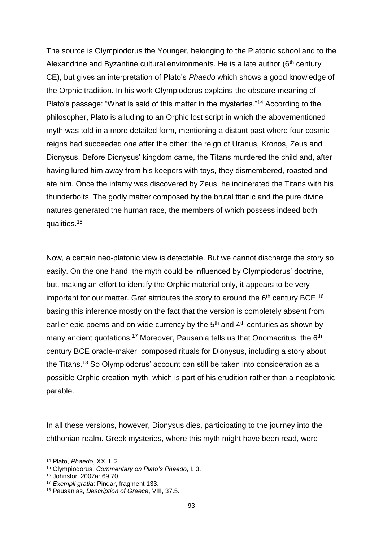The source is Olympiodorus the Younger, belonging to the Platonic school and to the Alexandrine and Byzantine cultural environments. He is a late author  $(6<sup>th</sup>$  century CE), but gives an interpretation of Plato's *Phaedo* which shows a good knowledge of the Orphic tradition. In his work Olympiodorus explains the obscure meaning of Plato's passage: "What is said of this matter in the mysteries."<sup>14</sup> According to the philosopher, Plato is alluding to an Orphic lost script in which the abovementioned myth was told in a more detailed form, mentioning a distant past where four cosmic reigns had succeeded one after the other: the reign of Uranus, Kronos, Zeus and Dionysus. Before Dionysus' kingdom came, the Titans murdered the child and, after having lured him away from his keepers with toys, they dismembered, roasted and ate him. Once the infamy was discovered by Zeus, he incinerated the Titans with his thunderbolts. The godly matter composed by the brutal titanic and the pure divine natures generated the human race, the members of which possess indeed both qualities.<sup>15</sup>

Now, a certain neo-platonic view is detectable. But we cannot discharge the story so easily. On the one hand, the myth could be influenced by Olympiodorus' doctrine, but, making an effort to identify the Orphic material only, it appears to be very important for our matter. Graf attributes the story to around the  $6<sup>th</sup>$  century BCE, <sup>16</sup> basing this inference mostly on the fact that the version is completely absent from earlier epic poems and on wide currency by the  $5<sup>th</sup>$  and  $4<sup>th</sup>$  centuries as shown by many ancient quotations.<sup>17</sup> Moreover, Pausania tells us that Onomacritus, the 6<sup>th</sup> century BCE oracle-maker, composed rituals for Dionysus, including a story about the Titans.<sup>18</sup> So Olympiodorus' account can still be taken into consideration as a possible Orphic creation myth, which is part of his erudition rather than a neoplatonic parable.

In all these versions, however, Dionysus dies, participating to the journey into the chthonian realm. Greek mysteries, where this myth might have been read, were

<sup>14</sup> Plato, *Phaedo*, XXIII. 2.

<sup>15</sup> Olympiodorus, *Commentary on Plato's Phaedo*, I. 3.

<sup>16</sup> Johnston 2007a: 69,70.

<sup>17</sup> *Exempli gratia*: Pindar, fragment 133.

<sup>18</sup> Pausanias, *Description of Greece*, VIII, 37.5.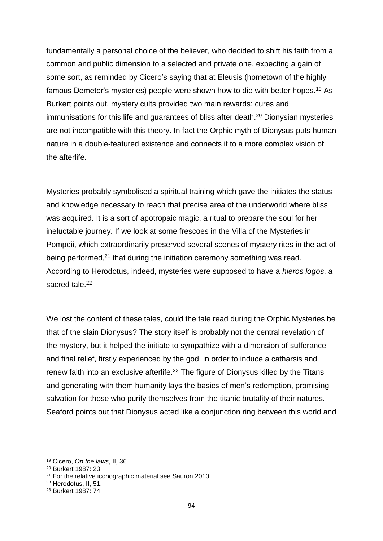fundamentally a personal choice of the believer, who decided to shift his faith from a common and public dimension to a selected and private one, expecting a gain of some sort, as reminded by Cicero's saying that at Eleusis (hometown of the highly famous Demeter's mysteries) people were shown how to die with better hopes.<sup>19</sup> As Burkert points out, mystery cults provided two main rewards: cures and immunisations for this life and quarantees of bliss after death.<sup>20</sup> Dionysian mysteries are not incompatible with this theory. In fact the Orphic myth of Dionysus puts human nature in a double-featured existence and connects it to a more complex vision of the afterlife.

Mysteries probably symbolised a spiritual training which gave the initiates the status and knowledge necessary to reach that precise area of the underworld where bliss was acquired. It is a sort of apotropaic magic, a ritual to prepare the soul for her ineluctable journey. If we look at some frescoes in the Villa of the Mysteries in Pompeii, which extraordinarily preserved several scenes of mystery rites in the act of being performed,<sup>21</sup> that during the initiation ceremony something was read. According to Herodotus, indeed, mysteries were supposed to have a *hieros logos*, a sacred tale.<sup>22</sup>

We lost the content of these tales, could the tale read during the Orphic Mysteries be that of the slain Dionysus? The story itself is probably not the central revelation of the mystery, but it helped the initiate to sympathize with a dimension of sufferance and final relief, firstly experienced by the god, in order to induce a catharsis and renew faith into an exclusive afterlife.<sup>23</sup> The figure of Dionysus killed by the Titans and generating with them humanity lays the basics of men's redemption, promising salvation for those who purify themselves from the titanic brutality of their natures. Seaford points out that Dionysus acted like a conjunction ring between this world and

<sup>19</sup> Cicero, *On the laws*, II, 36.

<sup>20</sup> Burkert 1987: 23.

<sup>&</sup>lt;sup>21</sup> For the relative iconographic material see Sauron 2010.

<sup>22</sup> Herodotus, II, 51.

<sup>23</sup> Burkert 1987: 74.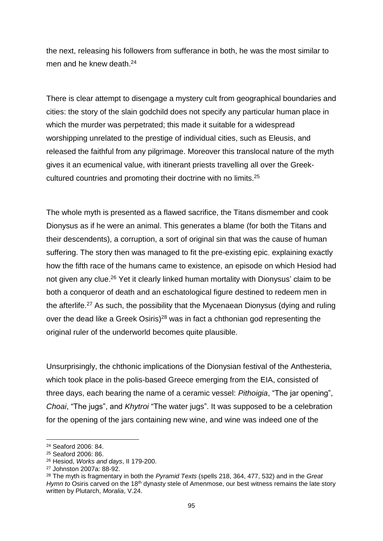the next, releasing his followers from sufferance in both, he was the most similar to men and he knew death.<sup>24</sup>

There is clear attempt to disengage a mystery cult from geographical boundaries and cities: the story of the slain godchild does not specify any particular human place in which the murder was perpetrated; this made it suitable for a widespread worshipping unrelated to the prestige of individual cities, such as Eleusis, and released the faithful from any pilgrimage. Moreover this translocal nature of the myth gives it an ecumenical value, with itinerant priests travelling all over the Greekcultured countries and promoting their doctrine with no limits.<sup>25</sup>

The whole myth is presented as a flawed sacrifice, the Titans dismember and cook Dionysus as if he were an animal. This generates a blame (for both the Titans and their descendents), a corruption, a sort of original sin that was the cause of human suffering. The story then was managed to fit the pre-existing epic, explaining exactly how the fifth race of the humans came to existence, an episode on which Hesiod had not given any clue.<sup>26</sup> Yet it clearly linked human mortality with Dionysus' claim to be both a conqueror of death and an eschatological figure destined to redeem men in the afterlife.<sup>27</sup> As such, the possibility that the Mycenaean Dionysus (dying and ruling over the dead like a Greek Osiris)<sup>28</sup> was in fact a chthonian god representing the original ruler of the underworld becomes quite plausible.

Unsurprisingly, the chthonic implications of the Dionysian festival of the Anthesteria, which took place in the polis-based Greece emerging from the EIA, consisted of three days, each bearing the name of a ceramic vessel: *Pithoigia*, "The jar opening", *Choai*, "The jugs", and *Khytroi* "The water jugs". It was supposed to be a celebration for the opening of the jars containing new wine, and wine was indeed one of the

<sup>24</sup> Seaford 2006: 84.

<sup>25</sup> Seaford 2006: 86.

<sup>26</sup> Hesiod, *Works and days*, II 179-200.

<sup>27</sup> Johnston 2007a: 88-92.

<sup>28</sup> The myth is fragmentary in both the *Pyramid Texts* (spells 218, 364, 477, 532) and in the *Great Hymn to* Osiris carved on the 18<sup>th</sup> dynasty stele of Amenmose, our best witness remains the late story written by Plutarch, *Moralia*, V.24.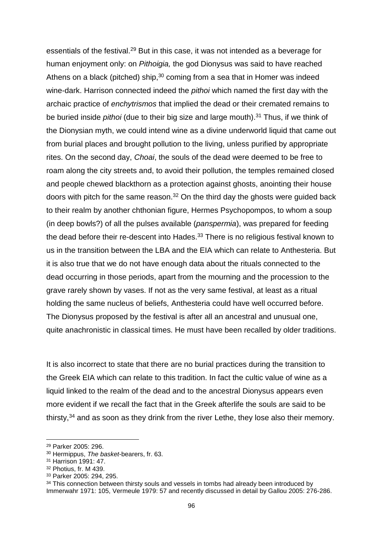essentials of the festival.<sup>29</sup> But in this case, it was not intended as a beverage for human enjoyment only: on *Pithoigia,* the god Dionysus was said to have reached Athens on a black (pitched) ship, $30$  coming from a sea that in Homer was indeed wine-dark. Harrison connected indeed the *pithoi* which named the first day with the archaic practice of *enchytrismos* that implied the dead or their cremated remains to be buried inside *pithoi* (due to their big size and large mouth).<sup>31</sup> Thus, if we think of the Dionysian myth, we could intend wine as a divine underworld liquid that came out from burial places and brought pollution to the living, unless purified by appropriate rites. On the second day, *Choai*, the souls of the dead were deemed to be free to roam along the city streets and, to avoid their pollution, the temples remained closed and people chewed blackthorn as a protection against ghosts, anointing their house doors with pitch for the same reason. $32$  On the third day the ghosts were guided back to their realm by another chthonian figure, Hermes Psychopompos, to whom a soup (in deep bowls?) of all the pulses available (*panspermia*), was prepared for feeding the dead before their re-descent into Hades.<sup>33</sup> There is no religious festival known to us in the transition between the LBA and the EIA which can relate to Anthesteria. But it is also true that we do not have enough data about the rituals connected to the dead occurring in those periods, apart from the mourning and the procession to the grave rarely shown by vases. If not as the very same festival, at least as a ritual holding the same nucleus of beliefs, Anthesteria could have well occurred before. The Dionysus proposed by the festival is after all an ancestral and unusual one, quite anachronistic in classical times. He must have been recalled by older traditions.

It is also incorrect to state that there are no burial practices during the transition to the Greek EIA which can relate to this tradition. In fact the cultic value of wine as a liquid linked to the realm of the dead and to the ancestral Dionysus appears even more evident if we recall the fact that in the Greek afterlife the souls are said to be thirsty,  $34$  and as soon as they drink from the river Lethe, they lose also their memory.

1

<sup>33</sup> Parker 2005: 294, 295.

<sup>29</sup> Parker 2005: 296.

<sup>30</sup> Hermippus, *The basket*-bearers, fr. 63.

<sup>31</sup> Harrison 1991: 47.

<sup>32</sup> Photius, fr. M 439.

 $34$  This connection between thirsty souls and vessels in tombs had already been introduced by Immerwahr 1971: 105, Vermeule 1979: 57 and recently discussed in detail by Gallou 2005: 276-286.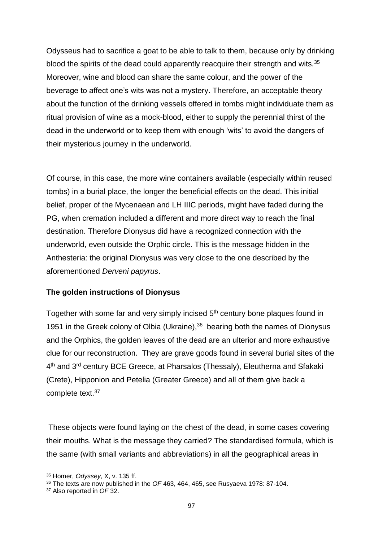Odysseus had to sacrifice a goat to be able to talk to them, because only by drinking blood the spirits of the dead could apparently reacquire their strength and wits.<sup>35</sup> Moreover, wine and blood can share the same colour, and the power of the beverage to affect one's wits was not a mystery. Therefore, an acceptable theory about the function of the drinking vessels offered in tombs might individuate them as ritual provision of wine as a mock-blood, either to supply the perennial thirst of the dead in the underworld or to keep them with enough 'wits' to avoid the dangers of their mysterious journey in the underworld.

Of course, in this case, the more wine containers available (especially within reused tombs) in a burial place, the longer the beneficial effects on the dead. This initial belief, proper of the Mycenaean and LH IIIC periods, might have faded during the PG, when cremation included a different and more direct way to reach the final destination. Therefore Dionysus did have a recognized connection with the underworld, even outside the Orphic circle. This is the message hidden in the Anthesteria: the original Dionysus was very close to the one described by the aforementioned *Derveni papyrus*.

#### **The golden instructions of Dionysus**

Together with some far and very simply incised 5<sup>th</sup> century bone plaques found in 1951 in the Greek colony of Olbia (Ukraine),<sup>36</sup> bearing both the names of Dionysus and the Orphics, the golden leaves of the dead are an ulterior and more exhaustive clue for our reconstruction. They are grave goods found in several burial sites of the 4<sup>th</sup> and 3<sup>rd</sup> century BCE Greece, at Pharsalos (Thessaly), Eleutherna and Sfakaki (Crete), Hipponion and Petelia (Greater Greece) and all of them give back a complete text.<sup>37</sup>

These objects were found laying on the chest of the dead, in some cases covering their mouths. What is the message they carried? The standardised formula, which is the same (with small variants and abbreviations) in all the geographical areas in

<sup>35</sup> Homer, *Odyssey*, X, v. 135 ff.

<sup>36</sup> The texts are now published in the *OF* 463, 464, 465, see Rusyaeva 1978: 87-104.

<sup>37</sup> Also reported in *OF* 32.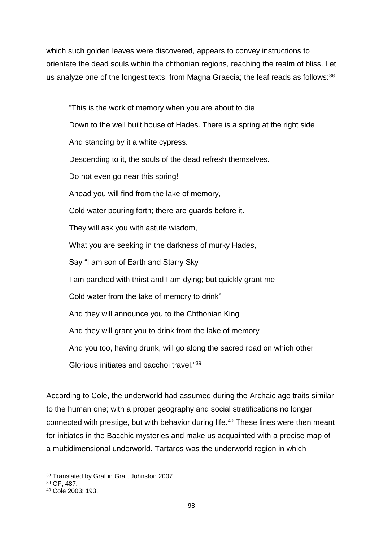which such golden leaves were discovered, appears to convey instructions to orientate the dead souls within the chthonian regions, reaching the realm of bliss. Let us analyze one of the longest texts, from Magna Graecia; the leaf reads as follows: 38

"This is the work of memory when you are about to die Down to the well built house of Hades. There is a spring at the right side And standing by it a white cypress. Descending to it, the souls of the dead refresh themselves. Do not even go near this spring! Ahead you will find from the lake of memory, Cold water pouring forth; there are guards before it. They will ask you with astute wisdom, What you are seeking in the darkness of murky Hades, Say "I am son of Earth and Starry Sky I am parched with thirst and I am dying; but quickly grant me Cold water from the lake of memory to drink" And they will announce you to the Chthonian King And they will grant you to drink from the lake of memory And you too, having drunk, will go along the sacred road on which other Glorious initiates and bacchoi travel." 39

According to Cole, the underworld had assumed during the Archaic age traits similar to the human one; with a proper geography and social stratifications no longer connected with prestige, but with behavior during life.<sup>40</sup> These lines were then meant for initiates in the Bacchic mysteries and make us acquainted with a precise map of a multidimensional underworld. Tartaros was the underworld region in which

<sup>1</sup> <sup>38</sup> Translated by Graf in Graf, Johnston 2007.

<sup>39</sup> OF, 487.

<sup>40</sup> Cole 2003: 193.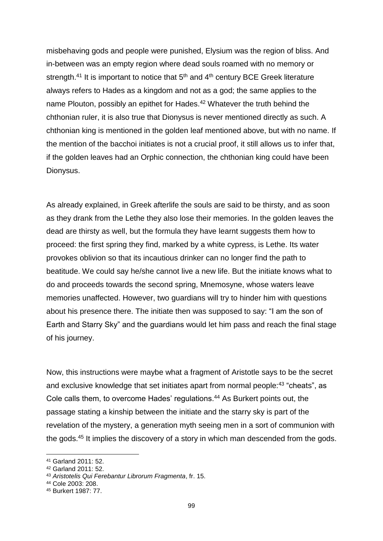misbehaving gods and people were punished, Elysium was the region of bliss. And in-between was an empty region where dead souls roamed with no memory or strength.<sup>41</sup> It is important to notice that  $5<sup>th</sup>$  and  $4<sup>th</sup>$  century BCE Greek literature always refers to Hades as a kingdom and not as a god; the same applies to the name Plouton, possibly an epithet for Hades.<sup>42</sup> Whatever the truth behind the chthonian ruler, it is also true that Dionysus is never mentioned directly as such. A chthonian king is mentioned in the golden leaf mentioned above, but with no name. If the mention of the bacchoi initiates is not a crucial proof, it still allows us to infer that, if the golden leaves had an Orphic connection, the chthonian king could have been Dionysus.

As already explained, in Greek afterlife the souls are said to be thirsty, and as soon as they drank from the Lethe they also lose their memories. In the golden leaves the dead are thirsty as well, but the formula they have learnt suggests them how to proceed: the first spring they find, marked by a white cypress, is Lethe. Its water provokes oblivion so that its incautious drinker can no longer find the path to beatitude. We could say he/she cannot live a new life. But the initiate knows what to do and proceeds towards the second spring, Mnemosyne, whose waters leave memories unaffected. However, two guardians will try to hinder him with questions about his presence there. The initiate then was supposed to say: "I am the son of Earth and Starry Sky" and the guardians would let him pass and reach the final stage of his journey.

Now, this instructions were maybe what a fragment of Aristotle says to be the secret and exclusive knowledge that set initiates apart from normal people:<sup>43</sup> "cheats", as Cole calls them, to overcome Hades' regulations.<sup>44</sup> As Burkert points out, the passage stating a kinship between the initiate and the starry sky is part of the revelation of the mystery, a generation myth seeing men in a sort of communion with the gods.<sup>45</sup> It implies the discovery of a story in which man descended from the gods.

<sup>41</sup> Garland 2011: 52.

<sup>42</sup> Garland 2011: 52.

<sup>43</sup> *Aristotelis Qui Ferebantur Librorum Fragmenta*, fr. 15.

<sup>44</sup> Cole 2003: 208.

<sup>45</sup> Burkert 1987: 77.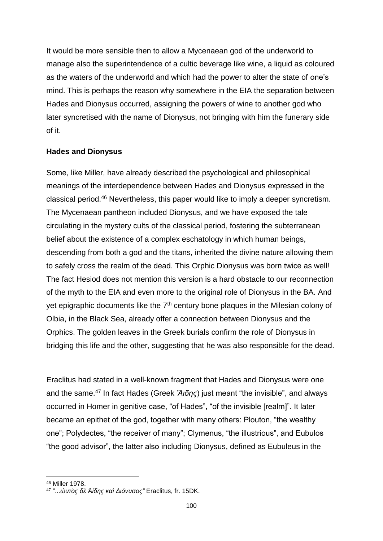It would be more sensible then to allow a Mycenaean god of the underworld to manage also the superintendence of a cultic beverage like wine, a liquid as coloured as the waters of the underworld and which had the power to alter the state of one's mind. This is perhaps the reason why somewhere in the EIA the separation between Hades and Dionysus occurred, assigning the powers of wine to another god who later syncretised with the name of Dionysus, not bringing with him the funerary side of it.

#### **Hades and Dionysus**

Some, like Miller, have already described the psychological and philosophical meanings of the interdependence between Hades and Dionysus expressed in the classical period.<sup>46</sup> Nevertheless, this paper would like to imply a deeper syncretism. The Mycenaean pantheon included Dionysus, and we have exposed the tale circulating in the mystery cults of the classical period, fostering the subterranean belief about the existence of a complex eschatology in which human beings, descending from both a god and the titans, inherited the divine nature allowing them to safely cross the realm of the dead. This Orphic Dionysus was born twice as well! The fact Hesiod does not mention this version is a hard obstacle to our reconnection of the myth to the EIA and even more to the original role of Dionysus in the BA. And yet epigraphic documents like the  $7<sup>th</sup>$  century bone plaques in the Milesian colony of Olbia, in the Black Sea, already offer a connection between Dionysus and the Orphics. The golden leaves in the Greek burials confirm the role of Dionysus in bridging this life and the other, suggesting that he was also responsible for the dead.

Eraclitus had stated in a well-known fragment that Hades and Dionysus were one and the same.<sup>47</sup> In fact Hades (Greek *Ἅιδης*) just meant "the invisible", and always occurred in Homer in genitive case, "of Hades", "of the invisible [realm]". It later became an epithet of the god, together with many others: Plouton, "the wealthy one"; Polydectes, "the receiver of many"; Clymenus, "the illustrious", and Eubulos "the good advisor", the latter also including Dionysus, defined as Eubuleus in the

<sup>46</sup> Miller 1978.

<sup>47</sup> "...*ὡυτὸς δὲ Ἀίδης καὶ Διόνυσος"* Eraclitus, fr. 15DK.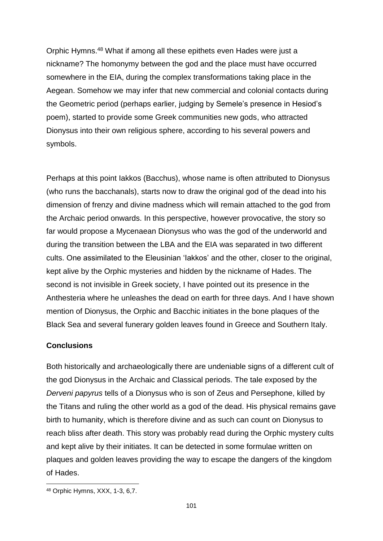Orphic Hymns. <sup>48</sup> What if among all these epithets even Hades were just a nickname? The homonymy between the god and the place must have occurred somewhere in the EIA, during the complex transformations taking place in the Aegean. Somehow we may infer that new commercial and colonial contacts during the Geometric period (perhaps earlier, judging by Semele's presence in Hesiod's poem), started to provide some Greek communities new gods, who attracted Dionysus into their own religious sphere, according to his several powers and symbols.

Perhaps at this point Iakkos (Bacchus), whose name is often attributed to Dionysus (who runs the bacchanals), starts now to draw the original god of the dead into his dimension of frenzy and divine madness which will remain attached to the god from the Archaic period onwards. In this perspective, however provocative, the story so far would propose a Mycenaean Dionysus who was the god of the underworld and during the transition between the LBA and the EIA was separated in two different cults. One assimilated to the Eleusinian 'Iakkos' and the other, closer to the original, kept alive by the Orphic mysteries and hidden by the nickname of Hades. The second is not invisible in Greek society, I have pointed out its presence in the Anthesteria where he unleashes the dead on earth for three days. And I have shown mention of Dionysus, the Orphic and Bacchic initiates in the bone plaques of the Black Sea and several funerary golden leaves found in Greece and Southern Italy.

## **Conclusions**

Both historically and archaeologically there are undeniable signs of a different cult of the god Dionysus in the Archaic and Classical periods. The tale exposed by the *Derveni papyrus* tells of a Dionysus who is son of Zeus and Persephone, killed by the Titans and ruling the other world as a god of the dead. His physical remains gave birth to humanity, which is therefore divine and as such can count on Dionysus to reach bliss after death. This story was probably read during the Orphic mystery cults and kept alive by their initiates. It can be detected in some formulae written on plaques and golden leaves providing the way to escape the dangers of the kingdom of Hades.

<sup>48</sup> Orphic Hymns, XXX, 1-3, 6,7.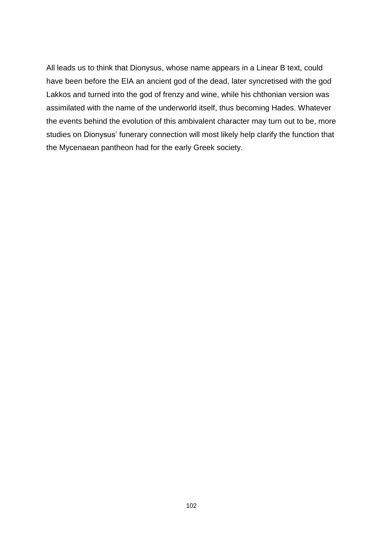All leads us to think that Dionysus, whose name appears in a Linear B text, could have been before the EIA an ancient god of the dead, later syncretised with the god Lakkos and turned into the god of frenzy and wine, while his chthonian version was assimilated with the name of the underworld itself, thus becoming Hades. Whatever the events behind the evolution of this ambivalent character may turn out to be, more studies on Dionysus' funerary connection will most likely help clarify the function that the Mycenaean pantheon had for the early Greek society.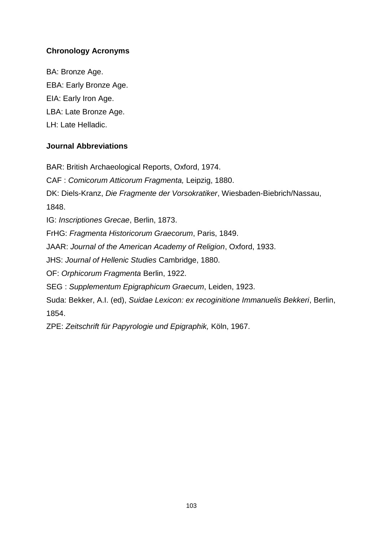## **Chronology Acronyms**

BA: Bronze Age. EBA: Early Bronze Age. EIA: Early Iron Age. LBA: Late Bronze Age. LH: Late Helladic.

### **Journal Abbreviations**

BAR: British Archaeological Reports, Oxford, 1974.

CAF : *Comicorum Atticorum Fragmenta,* Leipzig, 1880.

DK: Diels-Kranz, *Die Fragmente der Vorsokratiker*, Wiesbaden-Biebrich/Nassau,

1848.

IG: *Inscriptiones Grecae*, Berlin, 1873.

FrHG: *Fragmenta Historicorum Graecorum*, Paris, 1849.

JAAR: *Journal of the American Academy of Religion*, Oxford, 1933.

JHS: *Journal of Hellenic Studies* Cambridge, 1880.

OF: *Orphicorum Fragmenta* Berlin, 1922.

SEG : *Supplementum Epigraphicum Graecum*, Leiden, 1923.

Suda: Bekker, A.I. (ed), *Suidae Lexicon: ex recoginitione Immanuelis Bekkeri*, Berlin, 1854.

ZPE: *Zeitschrift für Papyrologie und Epigraphik,* Köln, 1967.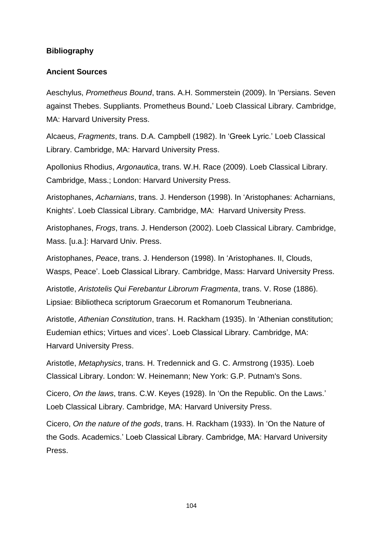### **Bibliography**

#### **Ancient Sources**

Aeschylus, *Prometheus Bound*, trans. A.H. Sommerstein (2009). In 'Persians. Seven against Thebes. Suppliants. Prometheus Bound**.**' Loeb Classical Library. Cambridge, MA: Harvard University Press.

Alcaeus, *Fragments*, trans. D.A. Campbell (1982). In 'Greek Lyric.' Loeb Classical Library. Cambridge, MA: Harvard University Press.

Apollonius Rhodius, *Argonautica*, trans. W.H. Race (2009). Loeb Classical Library. Cambridge, Mass.; London: Harvard University Press.

Aristophanes, *Acharnians*, trans. J. Henderson (1998). In 'Aristophanes: Acharnians, Knights'. Loeb Classical Library. Cambridge, MA: Harvard University Press.

Aristophanes, *Frogs*, trans. J. Henderson (2002). Loeb Classical Library. Cambridge, Mass. [u.a.]: Harvard Univ. Press.

Aristophanes, *Peace*, trans. J. Henderson (1998). In 'Aristophanes. II, Clouds, Wasps, Peace'. Loeb Classical Library. Cambridge, Mass: Harvard University Press.

Aristotle, *Aristotelis Qui Ferebantur Librorum Fragmenta*, trans. V. Rose (1886). Lipsiae: Bibliotheca scriptorum Graecorum et Romanorum Teubneriana.

Aristotle, *Athenian Constitution*, trans. H. Rackham (1935). In 'Athenian constitution; Eudemian ethics; Virtues and vices'. Loeb Classical Library. Cambridge, MA: Harvard University Press.

Aristotle, *Metaphysics*, trans. H. Tredennick and G. C. Armstrong (1935). Loeb Classical Library. London: W. Heinemann; New York: G.P. Putnam's Sons.

Cicero, *On the laws*, trans. C.W. Keyes (1928). In 'On the Republic. On the Laws.' Loeb Classical Library. Cambridge, MA: Harvard University Press.

Cicero, *On the nature of the gods*, trans. H. Rackham (1933). In 'On the Nature of the Gods. Academics.' Loeb Classical Library. Cambridge, MA: Harvard University Press.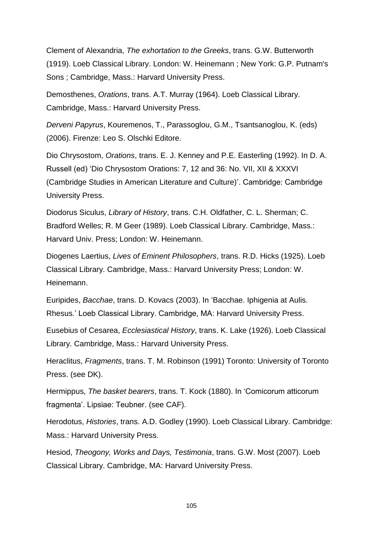Clement of Alexandria, *The exhortation to the Greeks*, trans. G.W. Butterworth (1919). Loeb Classical Library. London: W. Heinemann ; New York: G.P. Putnam's Sons ; Cambridge, Mass.: Harvard University Press.

Demosthenes, *Orations*, trans. A.T. Murray (1964). Loeb Classical Library. Cambridge, Mass.: Harvard University Press.

*Derveni Papyrus*, Kouremenos, T., Parassoglou, G.M., Tsantsanoglou, K. (eds) (2006). Firenze: Leo S. Olschki Editore.

Dio Chrysostom, *Orations*, trans. E. J. Kenney and P.E. Easterling (1992). In D. A. Russell (ed) 'Dio Chrysostom Orations: 7, 12 and 36: No. VII, XII & XXXVI (Cambridge Studies in American Literature and Culture)'. Cambridge: Cambridge University Press.

Diodorus Siculus, *Library of History*, trans. C.H. Oldfather, C. L. Sherman; C. Bradford Welles; R. M Geer (1989). Loeb Classical Library. Cambridge, Mass.: Harvard Univ. Press; London: W. Heinemann.

Diogenes Laertius, *Lives of Eminent Philosophers*, trans. R.D. Hicks (1925). Loeb Classical Library. Cambridge, Mass.: Harvard University Press; London: W. Heinemann.

Euripides, *Bacchae*, trans. D. Kovacs (2003). In 'Bacchae. Iphigenia at Aulis. Rhesus.' Loeb Classical Library. Cambridge, MA: Harvard University Press.

Eusebius of Cesarea, *Ecclesiastical History*, trans. K. Lake (1926). Loeb Classical Library. Cambridge, Mass.: Harvard University Press.

Heraclitus, *Fragments*, trans. T. M. Robinson (1991) Toronto: University of Toronto Press. (see DK).

Hermippus, *The basket bearers*, trans. T. Kock (1880). In 'Comicorum atticorum fragmenta'. Lipsiae: Teubner. (see CAF).

Herodotus, *Histories*, trans. A.D. Godley (1990). Loeb Classical Library. Cambridge: Mass.: Harvard University Press.

Hesiod, *Theogony, Works and Days, Testimonia*, trans. G.W. Most (2007). Loeb Classical Library. Cambridge, MA: Harvard University Press.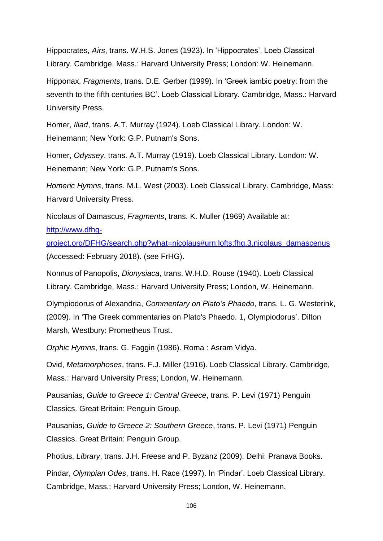Hippocrates, *Airs*, trans. W.H.S. Jones (1923). In 'Hippocrates'. Loeb Classical Library. Cambridge, Mass.: Harvard University Press; London: W. Heinemann.

Hipponax, *Fragments*, trans. D.E. Gerber (1999). In 'Greek iambic poetry: from the seventh to the fifth centuries BC'. Loeb Classical Library. Cambridge, Mass.: Harvard University Press.

Homer, *Iliad*, trans. A.T. Murray (1924). Loeb Classical Library. London: W. Heinemann; New York: G.P. Putnam's Sons.

Homer, *Odyssey*, trans. A.T. Murray (1919). Loeb Classical Library. London: W. Heinemann; New York: G.P. Putnam's Sons.

*Homeric Hymns*, trans. M.L. West (2003). Loeb Classical Library. Cambridge, Mass: Harvard University Press.

Nicolaus of Damascus, *Fragments*, trans. K. Muller (1969) Available at: [http://www.dfhg-](http://www.dfhg-project.org/DFHG/search.php?what=nicolaus#urn:lofts:fhg.3.nicolaus_damascenus)

[project.org/DFHG/search.php?what=nicolaus#urn:lofts:fhg.3.nicolaus\\_damascenus](http://www.dfhg-project.org/DFHG/search.php?what=nicolaus#urn:lofts:fhg.3.nicolaus_damascenus) (Accessed: February 2018). (see FrHG).

Nonnus of Panopolis, *Dionysiaca*, trans. W.H.D. Rouse (1940). Loeb Classical Library. Cambridge, Mass.: Harvard University Press; London, W. Heinemann.

Olympiodorus of Alexandria, *Commentary on Plato's Phaedo*, trans. L. G. Westerink, (2009). In 'The Greek commentaries on Plato's Phaedo. 1, Olympiodorus'. Dilton Marsh, Westbury: Prometheus Trust.

*Orphic Hymns*, trans. G. Faggin (1986). Roma : Asram Vidya.

Ovid, *Metamorphoses*, trans. F.J. Miller (1916). Loeb Classical Library. Cambridge, Mass.: Harvard University Press; London, W. Heinemann.

Pausanias, *Guide to Greece 1: Central Greece*, trans. P. Levi (1971) Penguin Classics. Great Britain: Penguin Group.

Pausanias, *Guide to Greece 2: Southern Greece*, trans. P. Levi (1971) Penguin Classics. Great Britain: Penguin Group.

Photius, *Library*, trans. J.H. Freese and P. Byzanz (2009). Delhi: Pranava Books.

Pindar, *Olympian Odes*, trans. H. Race (1997). In 'Pindar'. Loeb Classical Library. Cambridge, Mass.: Harvard University Press; London, W. Heinemann.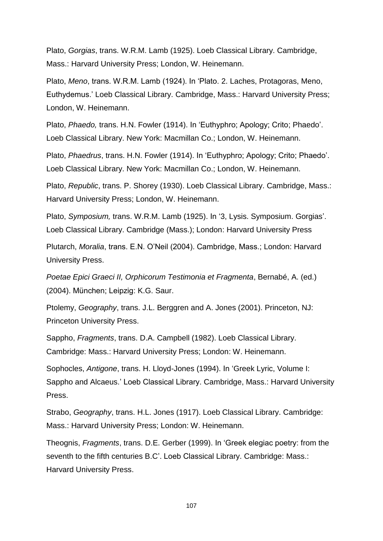Plato, *Gorgias*, trans. W.R.M. Lamb (1925). Loeb Classical Library. Cambridge, Mass.: Harvard University Press; London, W. Heinemann.

Plato, *Meno*, trans. W.R.M. Lamb (1924). In 'Plato. 2. Laches, Protagoras, Meno, Euthydemus.' Loeb Classical Library. Cambridge, Mass.: Harvard University Press; London, W. Heinemann.

Plato, *Phaedo,* trans. H.N. Fowler (1914). In 'Euthyphro; Apology; Crito; Phaedo'. Loeb Classical Library. New York: Macmillan Co.; London, W. Heinemann.

Plato, *Phaedrus*, trans. H.N. Fowler (1914). In 'Euthyphro; Apology; Crito; Phaedo'. Loeb Classical Library. New York: Macmillan Co.; London, W. Heinemann.

Plato, *Republic*, trans. P. Shorey (1930). Loeb Classical Library. Cambridge, Mass.: Harvard University Press; London, W. Heinemann.

Plato, *Symposium,* trans. W.R.M. Lamb (1925). In '3, Lysis. Symposium. Gorgias'. Loeb Classical Library. Cambridge (Mass.); London: Harvard University Press

Plutarch, *Moralia*, trans. E.N. O'Neil (2004). Cambridge, Mass.; London: Harvard University Press.

*Poetae Epici Graeci II, Orphicorum Testimonia et Fragmenta*, Bernabé, A. (ed.) (2004). München; Leipzig: K.G. Saur.

Ptolemy, *Geography*, trans. J.L. Berggren and A. Jones (2001). Princeton, NJ: Princeton University Press.

Sappho, *Fragments*, trans. D.A. Campbell (1982). Loeb Classical Library. Cambridge: Mass.: Harvard University Press; London: W. Heinemann.

Sophocles, *Antigone*, trans. H. Lloyd-Jones (1994). In 'Greek Lyric, Volume I: Sappho and Alcaeus.' Loeb Classical Library. Cambridge, Mass.: Harvard University Press.

Strabo, *Geography*, trans. H.L. Jones (1917). Loeb Classical Library. Cambridge: Mass.: Harvard University Press; London: W. Heinemann.

Theognis, *Fragments*, trans. D.E. Gerber (1999). In 'Greek elegiac poetry: from the seventh to the fifth centuries B.C'. Loeb Classical Library. Cambridge: Mass.: Harvard University Press.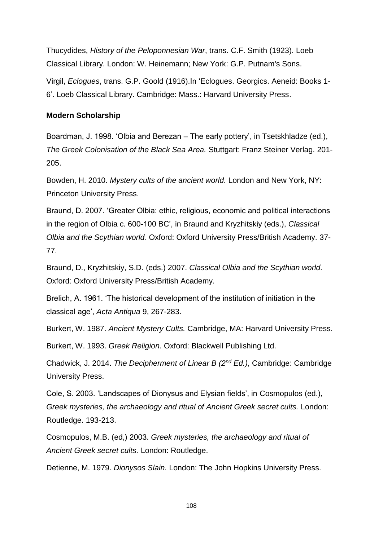Thucydides, *History of the Peloponnesian War*, trans. C.F. Smith (1923). Loeb Classical Library. London: W. Heinemann; New York: G.P. Putnam's Sons.

Virgil, *Eclogues*, trans. G.P. Goold (1916).In 'Eclogues. Georgics. Aeneid: Books 1- 6'. Loeb Classical Library. Cambridge: Mass.: Harvard University Press.

#### **Modern Scholarship**

Boardman, J. 1998. 'Olbia and Berezan – The early pottery', in Tsetskhladze (ed.), *The Greek Colonisation of the Black Sea Area.* Stuttgart: Franz Steiner Verlag. 201- 205.

Bowden, H. 2010. *Mystery cults of the ancient world.* London and New York, NY: Princeton University Press.

Braund, D. 2007. 'Greater Olbia: ethic, religious, economic and political interactions in the region of Olbia c. 600-100 BC', in Braund and Kryzhitskiy (eds.), *Classical Olbia and the Scythian world.* Oxford: Oxford University Press/British Academy. 37- 77.

Braund, D., Kryzhitskiy, S.D. (eds.) 2007. *Classical Olbia and the Scythian world.* Oxford: Oxford University Press/British Academy.

Brelich, A. 1961. 'The historical development of the institution of initiation in the classical age', *Acta Antiqua* 9, 267-283.

Burkert, W. 1987. *Ancient Mystery Cults.* Cambridge, MA: Harvard University Press.

Burkert, W. 1993. *Greek Religion.* Oxford: Blackwell Publishing Ltd.

Chadwick, J. 2014. *The Decipherment of Linear B (2nd Ed.)*, Cambridge: Cambridge University Press.

Cole, S. 2003. 'Landscapes of Dionysus and Elysian fields', in Cosmopulos (ed.), *Greek mysteries, the archaeology and ritual of Ancient Greek secret cults.* London: Routledge. 193-213.

Cosmopulos, M.B. (ed,) 2003. *Greek mysteries, the archaeology and ritual of Ancient Greek secret cults.* London: Routledge.

Detienne, M. 1979. *Dionysos Slain.* London: The John Hopkins University Press.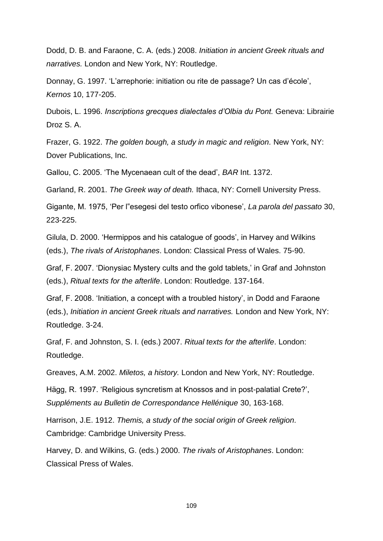Dodd, D. B. and Faraone, C. A. (eds.) 2008. *Initiation in ancient Greek rituals and narratives.* London and New York, NY: Routledge.

Donnay, G. 1997. 'L'arrephorie: initiation ou rite de passage? Un cas d'école', *Kernos* 10, 177-205.

Dubois, L. 1996. *Inscriptions grecques dialectales d'Olbia du Pont.* Geneva: Librairie Droz S. A.

Frazer, G. 1922. *The golden bough, a study in magic and religion.* New York, NY: Dover Publications, Inc.

Gallou, C. 2005. 'The Mycenaean cult of the dead', *BAR* Int. 1372.

Garland, R. 2001. *The Greek way of death.* Ithaca, NY: Cornell University Press.

Gigante, M. 1975, 'Per l"esegesi del testo orfico vibonese', *La parola del passato* 30, 223-225.

Gilula, D. 2000. 'Hermippos and his catalogue of goods', in Harvey and Wilkins (eds.), *The rivals of Aristophanes*. London: Classical Press of Wales. 75-90.

Graf, F. 2007. 'Dionysiac Mystery cults and the gold tablets,' in Graf and Johnston (eds.), *Ritual texts for the afterlife*. London: Routledge. 137-164.

Graf, F. 2008. 'Initiation, a concept with a troubled history', in Dodd and Faraone (eds.), *Initiation in ancient Greek rituals and narratives.* London and New York, NY: Routledge. 3-24.

Graf, F. and Johnston, S. I. (eds.) 2007. *Ritual texts for the afterlife*. London: Routledge.

Greaves, A.M. 2002. *Miletos, a history.* London and New York, NY: Routledge.

Hägg, R. 1997. 'Religious syncretism at Knossos and in post-palatial Crete?', *Suppléments au Bulletin de Correspondance Hellénique* 30, 163-168.

Harrison, J.E. 1912. *Themis, a study of the social origin of Greek religion.* Cambridge: Cambridge University Press.

Harvey, D. and Wilkins, G. (eds.) 2000. *The rivals of Aristophanes*. London: Classical Press of Wales.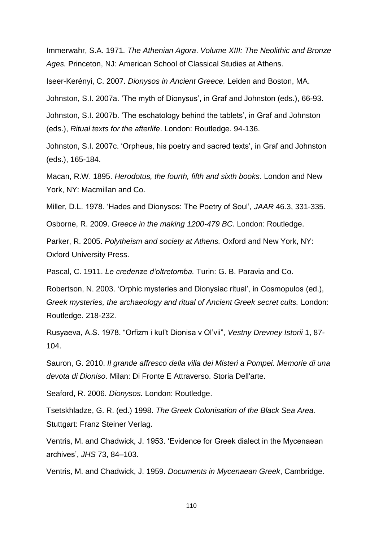Immerwahr, S.A. 1971*. The Athenian Agora*. *Volume XIII: The Neolithic and Bronze Ages.* Princeton, NJ: American School of Classical Studies at Athens.

Iseer-Kerényi, C. 2007. *Dionysos in Ancient Greece.* Leiden and Boston, MA.

Johnston, S.I. 2007a. 'The myth of Dionysus', in Graf and Johnston (eds.), 66-93.

Johnston, S.I. 2007b. 'The eschatology behind the tablets', in Graf and Johnston (eds.), *Ritual texts for the afterlife*. London: Routledge. 94-136.

Johnston, S.I. 2007c. 'Orpheus, his poetry and sacred texts', in Graf and Johnston (eds.), 165-184.

Macan, R.W. 1895. *Herodotus, the fourth, fifth and sixth books*. London and New York, NY: Macmillan and Co.

Miller, D.L. 1978. 'Hades and Dionysos: The Poetry of Soul', *JAAR* 46.3, 331-335.

Osborne, R. 2009. *Greece in the making 1200-479 BC.* London: Routledge.

Parker, R. 2005. *Polytheism and society at Athens.* Oxford and New York, NY: Oxford University Press.

Pascal, C. 1911. *Le credenze d'oltretomba.* Turin: G. B. Paravia and Co.

Robertson, N. 2003. 'Orphic mysteries and Dionysiac ritual', in Cosmopulos (ed.), *Greek mysteries, the archaeology and ritual of Ancient Greek secret cults.* London: Routledge. 218-232.

Rusyaeva, A.S. 1978. "Orfizm i kul't Dionisa v Ol'vii", *Vestny Drevney Istorii* 1, 87- 104.

Sauron, G. 2010. *Il grande affresco della villa dei Misteri a Pompei. Memorie di una devota di Dioniso*. Milan: Di Fronte E Attraverso. Storia Dell'arte.

Seaford, R. 2006. *Dionysos.* London: Routledge.

Tsetskhladze, G. R. (ed.) 1998. *The Greek Colonisation of the Black Sea Area.*  Stuttgart: Franz Steiner Verlag.

Ventris, M. and Chadwick, J. 1953. 'Evidence for Greek dialect in the Mycenaean archives', *JHS* 73, 84–103.

Ventris, M. and Chadwick, J. 1959. *Documents in Mycenaean Greek*, Cambridge.